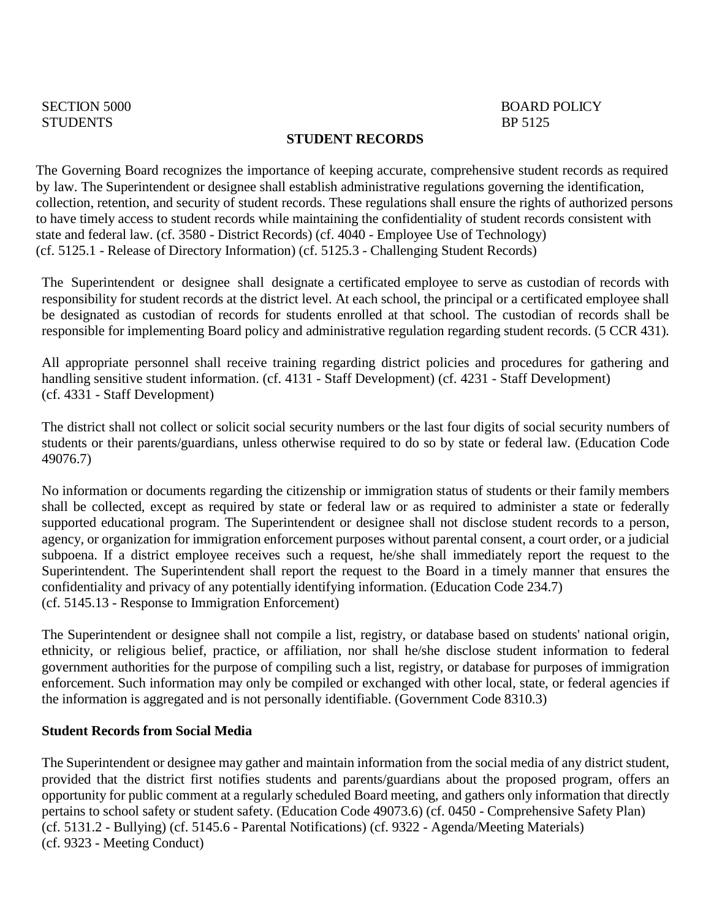#### **STUDENT RECORDS**

The Governing Board recognizes the importance of keeping accurate, comprehensive student records as required by law. The Superintendent or designee shall establish administrative regulations governing the identification, collection, retention, and security of student records. These regulations shall ensure the rights of authorized persons to have timely access to student records while maintaining the confidentiality of student records consistent with state and federal law. (cf. 3580 - District Records) (cf. 4040 - Employee Use of Technology) (cf. 5125.1 - Release of Directory Information) (cf. 5125.3 - Challenging Student Records)

The Superintendent or designee shall designate a certificated employee to serve as custodian of records with responsibility for student records at the district level. At each school, the principal or a certificated employee shall be designated as custodian of records for students enrolled at that school. The custodian of records shall be responsible for implementing Board policy and administrative regulation regarding student records. (5 CCR 431).

All appropriate personnel shall receive training regarding district policies and procedures for gathering and handling sensitive student information. (cf. 4131 - Staff Development) (cf. 4231 - Staff Development) (cf. 4331 - Staff Development)

The district shall not collect or solicit social security numbers or the last four digits of social security numbers of students or their parents/guardians, unless otherwise required to do so by state or federal law. (Education Code 49076.7)

No information or documents regarding the citizenship or immigration status of students or their family members shall be collected, except as required by state or federal law or as required to administer a state or federally supported educational program. The Superintendent or designee shall not disclose student records to a person, agency, or organization for immigration enforcement purposes without parental consent, a court order, or a judicial subpoena. If a district employee receives such a request, he/she shall immediately report the request to the Superintendent. The Superintendent shall report the request to the Board in a timely manner that ensures the confidentiality and privacy of any potentially identifying information. (Education Code 234.7) (cf. 5145.13 - Response to Immigration Enforcement)

The Superintendent or designee shall not compile a list, registry, or database based on students' national origin, ethnicity, or religious belief, practice, or affiliation, nor shall he/she disclose student information to federal government authorities for the purpose of compiling such a list, registry, or database for purposes of immigration enforcement. Such information may only be compiled or exchanged with other local, state, or federal agencies if the information is aggregated and is not personally identifiable. (Government Code 8310.3)

#### **Student Records from Social Media**

The Superintendent or designee may gather and maintain information from the social media of any district student, provided that the district first notifies students and parents/guardians about the proposed program, offers an opportunity for public comment at a regularly scheduled Board meeting, and gathers only information that directly pertains to school safety or student safety. (Education Code 49073.6) (cf. 0450 - Comprehensive Safety Plan) (cf. 5131.2 - Bullying) (cf. 5145.6 - Parental Notifications) (cf. 9322 - Agenda/Meeting Materials) (cf. 9323 - Meeting Conduct)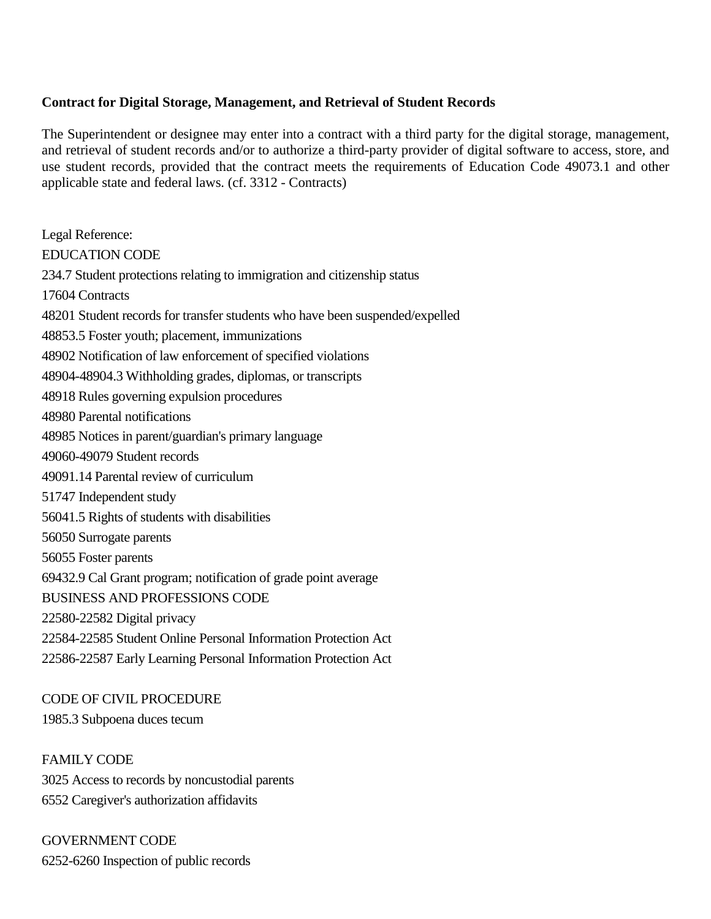### **Contract for Digital Storage, Management, and Retrieval of Student Records**

The Superintendent or designee may enter into a contract with a third party for the digital storage, management, and retrieval of student records and/or to authorize a third-party provider of digital software to access, store, and use student records, provided that the contract meets the requirements of Education Code 49073.1 and other applicable state and federal laws. (cf. 3312 - Contracts)

Legal Reference: EDUCATION CODE 234.7 Student protections relating to immigration and citizenship status 17604 Contracts 48201 Student records for transfer students who have been suspended/expelled 48853.5 Foster youth; placement, immunizations 48902 Notification of law enforcement of specified violations 48904-48904.3 Withholding grades, diplomas, or transcripts 48918 Rules governing expulsion procedures 48980 Parental notifications 48985 Notices in parent/guardian's primary language 49060-49079 Student records 49091.14 Parental review of curriculum 51747 Independent study 56041.5 Rights of students with disabilities 56050 Surrogate parents 56055 Foster parents 69432.9 Cal Grant program; notification of grade point average BUSINESS AND PROFESSIONS CODE 22580-22582 Digital privacy 22584-22585 Student Online Personal Information Protection Act 22586-22587 Early Learning Personal Information Protection Act

# CODE OF CIVIL PROCEDURE

1985.3 Subpoena duces tecum

FAMILY CODE 3025 Access to records by noncustodial parents 6552 Caregiver's authorization affidavits

GOVERNMENT CODE 6252-6260 Inspection of public records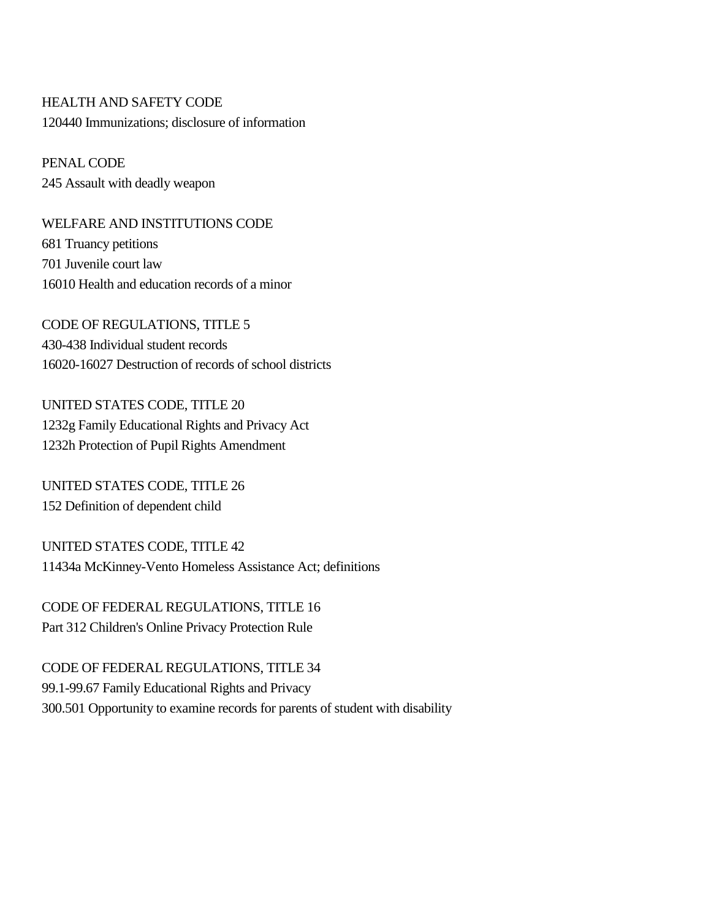# HEALTH AND SAFETY CODE 120440 Immunizations; disclosure of information

PENAL CODE 245 Assault with deadly weapon

WELFARE AND INSTITUTIONS CODE 681 Truancy petitions 701 Juvenile court law 16010 Health and education records of a minor

CODE OF REGULATIONS, TITLE 5 430-438 Individual student records 16020-16027 Destruction of records of school districts

UNITED STATES CODE, TITLE 20 1232g Family Educational Rights and Privacy Act 1232h Protection of Pupil Rights Amendment

UNITED STATES CODE, TITLE 26 152 Definition of dependent child

UNITED STATES CODE, TITLE 42 11434a McKinney-Vento Homeless Assistance Act; definitions

CODE OF FEDERAL REGULATIONS, TITLE 16 Part 312 Children's Online Privacy Protection Rule

CODE OF FEDERAL REGULATIONS, TITLE 34 99.1-99.67 Family Educational Rights and Privacy 300.501 Opportunity to examine records for parents of student with disability